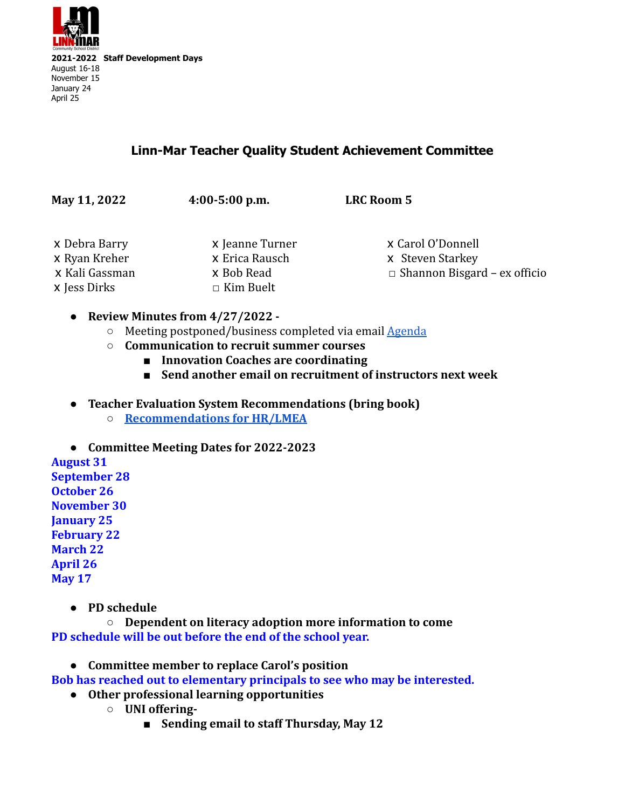

## **Linn-Mar Teacher Quality Student Achievement Committee**

**May 11, 2022 4:00-5:00 p.m. LRC Room 5** x Debra Barry x Jeanne Turner x Carol O'Donnell x Ryan Kreher x Erica Rausch x Steven Starkey x Kali Gassman x Bob Read □ Shannon Bisgard – ex officio  $x$  Iess Dirks  $\Box$  Kim Buelt

- **● Review Minutes from 4/27/2022 -**
	- Meeting postponed/business completed via email [Agenda](https://docs.google.com/document/u/0/d/1dvfIEEl75b_ggu1pMgfd78QU7UyXLqbySQd8OEpXks4/edit)
	- **○ Communication to recruit summer courses**
		- **■ Innovation Coaches are coordinating**
		- **■ Send another email on recruitment of instructors next week**
- **● Teacher Evaluation System Recommendations (bring book) ○ [Recommendations for HR/LMEA](https://docs.google.com/document/d/1nd_UeyINlpJYW_7XrxMj8GJXrgRecDKM4R7uGq0ExhM/edit?usp=sharing)**
- **● Committee Meeting Dates for 2022-2023**

**August 31 September 28 October 26 November 30 January 25 February 22 March 22 April 26 May 17**

**● PD schedule**

**○ Dependent on literacy adoption more information to come PD schedule will be out before the end of the school year.**

**● Committee member to replace Carol's position**

**Bob has reached out to elementary principals to see who may be interested.**

- **● Other professional learning opportunities**
	- **○ UNI offering-**
		- **■ Sending email to staff Thursday, May 12**